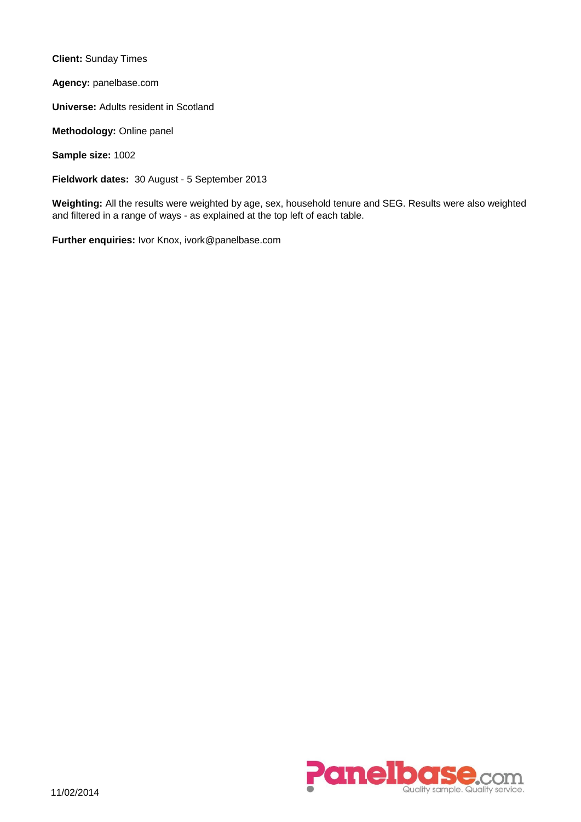**Client:** Sunday Times

**Agency:** panelbase.com

**Universe:** Adults resident in Scotland

**Methodology:** Online panel

**Sample size:** 1002

**Fieldwork dates:** 30 August - 5 September 2013

**Weighting:** All the results were weighted by age, sex, household tenure and SEG. Results were also weighted and filtered in a range of ways - as explained at the top left of each table.

**Further enquiries:** Ivor Knox, ivork@panelbase.com

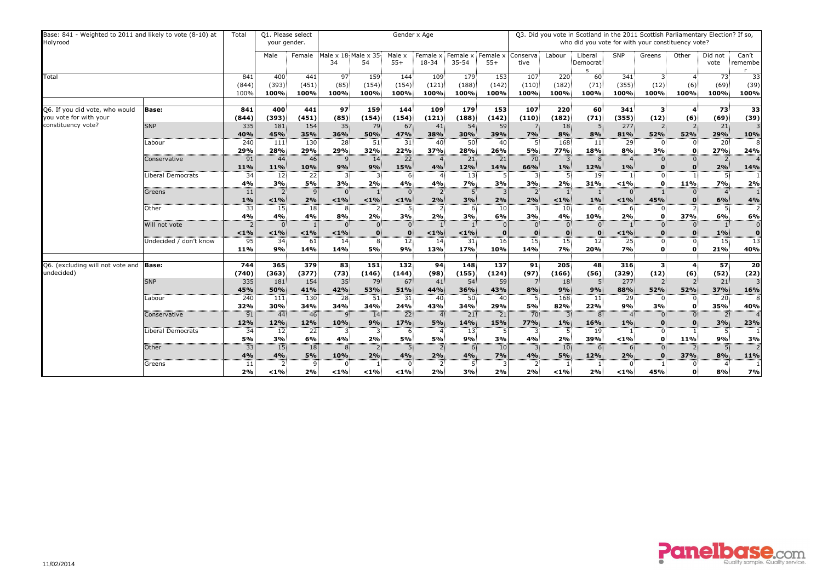| Base: 841 - Weighted to 2011 and likely to vote (8-10) at<br>Holyrood |                                   | Total                | Q1. Please select<br>your gender.        |                            |                           |                            | Gender x Age                 |                      |                                           |                                   |                      |                                 | Q3. Did you vote in Scotland in the 2011 Scottish Parliamentary Election? If so,<br>who did you vote for with your constituency vote? |                         |                                                 |                  |                        |                                  |
|-----------------------------------------------------------------------|-----------------------------------|----------------------|------------------------------------------|----------------------------|---------------------------|----------------------------|------------------------------|----------------------|-------------------------------------------|-----------------------------------|----------------------|---------------------------------|---------------------------------------------------------------------------------------------------------------------------------------|-------------------------|-------------------------------------------------|------------------|------------------------|----------------------------------|
|                                                                       |                                   |                      | Male                                     | Female                     | Male x 18 Male x 35<br>34 | 54                         | Male x<br>$55+$              | Female x<br>18-34    | Female x<br>$35 - 54$                     | Female x<br>$55+$                 | Conserva<br>tive     | Labour                          | Liberal<br>Democrat                                                                                                                   | <b>SNP</b>              | Greens                                          | Other            | Did not<br>vote        | Can't<br>remembe                 |
| Total                                                                 |                                   | 841<br>(844)<br>100% | 400<br>(393)<br>100%                     | 441<br>(451)<br>100%       | 97<br>(85)<br>100%        | 159<br>(154)<br>100%       | 144<br>(154)<br>100%         | 109<br>(121)<br>100% | 179<br>(188)<br>100%                      | $\overline{153}$<br>(142)<br>100% | 107<br>(110)<br>100% | 220<br>(182)<br>100%            | 60<br>(71)<br>100%                                                                                                                    | 341<br>(355)<br>100%    | 3<br>(12)<br>100%                               | 4<br>(6)<br>100% | 73<br>(69)<br>100%     | 33<br>(39)<br>100%               |
| Q6. If you did vote, who would<br>you vote for with your              | <b>Base:</b>                      | 841<br>(844)         | 400<br>(393)                             | 441<br>(451)               | 97<br>(85)                | 159<br>(154)               | 144<br>(154)                 | 109<br>(121)         | 179<br>(188)                              | 153<br>(142)                      | 107<br>(110)         | 220<br>(182)                    | 60<br>(71)                                                                                                                            | 341<br>(355)            | 3<br>(12)                                       | (6)              | 73<br>(69)             | $\overline{33}$<br>(39)          |
| constituency vote?                                                    | <b>SNP</b>                        | 335<br>40%           | 181<br>45%                               | 154<br>35%                 | 35 <sup>2</sup><br>36%    | 79<br>50%                  | 67<br>47%                    | 41<br>38%            | 54<br>30%                                 | 59<br>39%                         | 7%                   | 18 <sup>3</sup><br>8%           | 8%                                                                                                                                    | 277<br>81%              | 2<br>52%                                        | 52%              | 21<br>29%              | 3<br>10%                         |
|                                                                       | Labour                            | 240<br>29%           | 111<br>28%                               | $\overline{130}$<br>29%    | $\overline{28}$<br>29%    | 51<br>32%                  | $\overline{31}$<br>22%       | 40<br>37%            | $\overline{50}$<br>28%                    | 40<br>26%                         | 5%                   | 168<br><b>77%</b>               | 11<br><b>18%</b>                                                                                                                      | $\overline{29}$<br>8%   | $\Omega$<br>3%                                  | $\mathbf{0}$     | 20<br>27%              | 8<br>24%                         |
|                                                                       | Conservative<br>Liberal Democrats | 91<br>11%<br>34      | 44<br>11%<br>12                          | 46<br>10%<br>22            | $\mathsf{Q}$<br>9%        | 14<br>9%<br>3              | $\overline{22}$<br>15%<br>-6 | 4%                   | $\overline{21}$<br>12%<br>13 <sub>1</sub> | $\overline{21}$<br>14%            | 70<br>66%            | 1%                              | 8<br>12%<br>19 <sub>1</sub>                                                                                                           | 1%                      | $\mathbf{0}$<br>$\overline{0}$                  |                  | 2%                     | $\overline{4}$<br>14%            |
|                                                                       |                                   | 4%                   | 3%                                       | 5%                         | 3%                        | 2%                         | 4%<br>$\Omega$               | 4%                   | 7%                                        | 3%                                | 3%                   | 2%                              | 31%                                                                                                                                   | $< 1\%$                 | $\mathbf{0}$                                    | 11%              | 7%                     | 2%                               |
|                                                                       | Greens                            | 11<br>$1\%$          | 2 <sub>1</sub><br>$< 1\%$                | 9<br>2%<br>$\overline{18}$ | $\overline{0}$<br>< 1%    | $< 1\%$                    | $< 1\%$<br>5 <sub>1</sub>    | -2<br>2%             | 5<br>3%                                   | 2%                                | $\overline{2}$<br>2% | < 1%                            | $1\%$                                                                                                                                 | $< 1\%$                 | 45%                                             |                  | 6%                     | 1<br>4%                          |
|                                                                       | Other<br>Will not vote            | 33<br>4%             | 15<br>4%                                 | 4%                         | -8<br>8%                  | 2 <sub>1</sub><br>2%       | 3%                           | <sup>2</sup><br>2%   | 6.<br>3%                                  | 10<br>6%                          | 3<br>3%              | 10<br>4%<br>$\overline{0}$      | 6<br>10%<br>$\Omega$                                                                                                                  | 6<br>2%                 | $\overline{0}$<br>$\mathbf{0}$<br>$\Omega$      | 2<br>37%         | 5 <sup>1</sup><br>6%   | $\overline{2}$<br>6%<br>$\Omega$ |
|                                                                       | Undecided / don't know            | $< 1\%$<br>95        | $< 1\%$<br>34                            | < 1%<br>61                 | < 1%<br>14                | $\Omega$<br>8 <sup>1</sup> | $\bf{0}$<br>$\overline{12}$  | $< 1\%$<br>14        | $< 1\%$<br>31                             | $\overline{16}$                   | 15 <sub>1</sub>      | $\mathbf{0}$<br>$\overline{15}$ | $\mathbf{0}$<br>12                                                                                                                    | $< 1\%$<br>25           | $\Omega$<br>$\overline{0}$                      | 0<br>$\Omega$    | 1%<br>15 <sub>1</sub>  | $\mathbf 0$<br>13                |
|                                                                       |                                   | 11%                  | 9%                                       | 14%                        | 14%                       | 5%                         | 9%                           | 13%                  | 17%                                       | 10%                               | 14%                  | 7%                              | 20%                                                                                                                                   | 7%                      | $\mathbf 0$                                     | $\mathbf{0}$     | 21%                    | 40%                              |
| Q6. (excluding will not vote and<br>undecided)                        | <b>Base:</b>                      | 744<br>(740)         | 365<br>(363)                             | 379<br>(377)               | 83<br>(73)                | 151<br>(146)               | 132<br>(144)                 | 94<br>(98)           | 148<br>(155)                              | 137<br>(124)                      | 91<br>(97)           | 205<br>(166)                    | 48<br>(56)                                                                                                                            | 316<br>(329)            | 3<br>(12)                                       | (6)              | 57<br>(52)             | 20<br>(22)                       |
|                                                                       | <b>SNP</b>                        | 335<br>45%           | 181<br>50%                               | 154<br>41%                 | 35 <sub>1</sub><br>42%    | 79<br>53%                  | 67<br>51%                    | 41<br>44%            | 54<br>36%                                 | 59<br>43%                         | 8%                   | 18 <sup>2</sup><br>9%           | 9%                                                                                                                                    | 277<br>88%              | 52%                                             | 52%              | 21<br>37%              | 3<br>16%                         |
|                                                                       | Labour                            | 240<br>32%           | 111<br>30%                               | 130<br>34%                 | 28<br>34%                 | 51<br>34%                  | 31<br>24%                    | 40<br>43%            | 50<br>34%                                 | 40<br>29%                         | 5%                   | 168<br>82%                      | 11<br>22%                                                                                                                             | 29<br>9%                | - 0<br>3%                                       | $\mathbf{0}$     | 20 <sub>1</sub><br>35% | 8<br>40%                         |
|                                                                       | Conservative                      | 91<br>12%            | $44^{\frac{1}{3}}$<br>12%                | 46<br>12%                  | $\mathsf{Q}$<br>10%       | 14<br>9%                   | $\overline{22}$<br>17%       | $\overline{4}$<br>5% | 21<br><b>14%</b>                          | $\overline{21}$<br>15%            | 70<br><b>77%</b>     | 3 <sup>1</sup><br>$1\%$         | 8 <sub>1</sub><br><b>16%</b>                                                                                                          | $\overline{4}$<br>$1\%$ | $\overline{0}$<br>$\mathbf{0}$                  | $\overline{0}$   | 2 <sub>1</sub><br>3%   | $\overline{4}$<br>23%            |
|                                                                       | Liberal Democrats<br>Other        | 34<br>5%<br>33       | 12 <sub>1</sub><br>3%<br>15 <sup>3</sup> | 22<br>6%<br>18             | 4%                        | 3<br>2%<br>$\overline{2}$  | 6<br>5%                      | 5%                   | 13 <sub>z</sub><br>9%<br>6 <sup>1</sup>   | 3%<br>10                          | 4%                   | 2%<br>10                        | -19.<br><b>39%</b><br>6                                                                                                               | $< 1\%$                 | $\overline{0}$<br>$\mathbf 0$<br>$\overline{0}$ | 11%              | 9%<br>5 <sup>1</sup>   | 3%<br>$\overline{2}$             |
|                                                                       | Greens                            | 4%<br>11             | 4%<br>2 <sub>1</sub>                     | 5%                         | 10%                       | 2%                         | 4%                           | 2%                   | 4%                                        | 7%                                | 4%                   | 5%                              | 12%                                                                                                                                   | 2%                      | $\mathbf 0$                                     | 37%              | 8%                     | 11%                              |
|                                                                       |                                   | 2%                   | $< 1\%$                                  | 2%                         | $< 1\%$                   | $< 1\%$                    | $< 1\%$                      | 2%                   | 3%                                        | 2%                                | 2%                   | $< 1\%$                         | 2%                                                                                                                                    | $1\%$                   | 45%                                             | $\mathbf{0}$     | 8%                     | 7%                               |

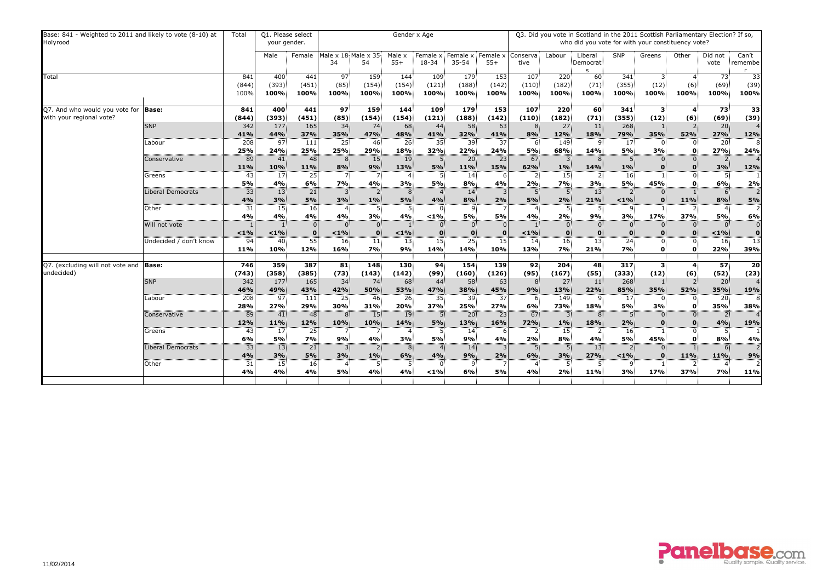| Base: 841 - Weighted to 2011 and likely to vote (8-10) at<br>Holyrood |                          | Total                   | Q1. Please select<br>your gender. |                         |                           |                        |                        | Gender x Age         |                       |                                   |                                  |                      |                     |                         |                |                                                                                                                                                                                                                                                                                                                                                                                                                                                                                                                                                                                                                                                                                                                                                   |                    |                      |
|-----------------------------------------------------------------------|--------------------------|-------------------------|-----------------------------------|-------------------------|---------------------------|------------------------|------------------------|----------------------|-----------------------|-----------------------------------|----------------------------------|----------------------|---------------------|-------------------------|----------------|---------------------------------------------------------------------------------------------------------------------------------------------------------------------------------------------------------------------------------------------------------------------------------------------------------------------------------------------------------------------------------------------------------------------------------------------------------------------------------------------------------------------------------------------------------------------------------------------------------------------------------------------------------------------------------------------------------------------------------------------------|--------------------|----------------------|
|                                                                       |                          |                         | Male                              | Female                  | Male x 18 Male x 35<br>34 | 54                     | Male x<br>$55+$        | Female x<br>18-34    | Female x<br>$35 - 54$ | Female x<br>$55+$                 | Conserva<br>tive                 | Labour               | Liberal<br>Democrat | <b>SNP</b>              | Greens         | Other                                                                                                                                                                                                                                                                                                                                                                                                                                                                                                                                                                                                                                                                                                                                             | Did not<br>vote    | Can't<br>remembe     |
| Total                                                                 |                          | 841<br>(844)<br>100%    | 400<br>(393)<br>100%              | 441<br>(451)<br>100%    | 97<br>(85)<br>100%        | 159<br>(154)<br>100%   | 144<br>(154)<br>100%   | 109<br>(121)<br>100% | 179<br>(188)<br>100%  | $\overline{153}$<br>(142)<br>100% | 107<br>(110)<br>100%             | 220<br>(182)<br>100% | 60<br>(71)<br>100%  | 341<br>(355)<br>100%    | 3<br>(12)      | 4<br>100%                                                                                                                                                                                                                                                                                                                                                                                                                                                                                                                                                                                                                                                                                                                                         | 73<br>(69)<br>100% | 33<br>(39)<br>100%   |
| Q7. And who would you vote for                                        | <b>Base:</b>             | 841                     | 400                               | 441                     | 97                        | 159                    | 144                    | 109                  | 179                   | 153                               | 107                              | 220                  | 60                  | 341                     |                |                                                                                                                                                                                                                                                                                                                                                                                                                                                                                                                                                                                                                                                                                                                                                   |                    | $\overline{33}$      |
| with your regional vote?                                              |                          | (844)                   | (393)                             | (451)                   | (85)                      | (154)                  | (154)                  | (121)                | (188)                 | (142)                             | (110)                            | (182)                | (71)                | (355)                   |                |                                                                                                                                                                                                                                                                                                                                                                                                                                                                                                                                                                                                                                                                                                                                                   |                    | (39)                 |
|                                                                       | <b>SNP</b>               | 342                     | 177                               | 165                     | 34                        | 74                     | 68                     | 44                   | 58                    | 63                                |                                  | 27                   | 11                  | 268                     |                |                                                                                                                                                                                                                                                                                                                                                                                                                                                                                                                                                                                                                                                                                                                                                   | 20                 | $\overline{4}$       |
|                                                                       |                          | 41%                     | 44%                               | 37%                     | 35%                       | 47%                    | 48%                    | 41%                  | 32%<br>-39            | 41%                               | 8%                               | 12%                  | 18%                 | 79%                     |                |                                                                                                                                                                                                                                                                                                                                                                                                                                                                                                                                                                                                                                                                                                                                                   |                    | 12%                  |
|                                                                       | Labour                   | $\overline{208}$<br>25% | 97<br>24%                         | $\overline{111}$<br>25% | $\overline{25}$<br>25%    | 46 <sup>3</sup><br>29% | $\overline{26}$<br>18% | 35<br>32%            | 22%                   | 37<br>24%                         | 6<br>5%                          | 149<br>68%           | 9<br><b>14%</b>     | 17<br>5%                |                |                                                                                                                                                                                                                                                                                                                                                                                                                                                                                                                                                                                                                                                                                                                                                   |                    | 8<br>24%             |
|                                                                       | Conservative             | 89                      | 41                                | 48                      | 8 <sup>1</sup>            | 15                     | 19                     |                      | $\overline{20}$       | $\overline{23}$                   | 67                               |                      | 8                   |                         |                | Q3. Did you vote in Scotland in the 2011 Scottish Parliamentary Election? If so,<br>who did you vote for with your constituency vote?<br>(6)<br>100%<br>73<br>3<br>(12)<br>(69)<br>(6)<br>35%<br>27%<br>52%<br>20<br>$\Omega$<br>27%<br>3%<br>$\mathbf{0}$<br>3%<br>$\mathbf 0$<br>O<br>$0^{\circ}$<br>45%<br>6%<br>$\mathbf{0}$<br>6<br>$\Omega$<br>8%<br>11%<br>$\mathbf 0$<br>2<br>$\overline{1}$<br>$\overline{4}$<br>17%<br>37%<br>5%<br>< 1%<br>$\mathbf{0}$<br>$\overline{0}$<br>16<br>22%<br>$\mathbf 0$<br>$\mathbf{0}$<br>57<br>3<br>(12)<br>(52)<br>(6)<br>20<br>35%<br>52%<br>35%<br>20 <sub>1</sub><br>- 0<br>35%<br>3%<br>$\mathbf{0}$<br>$\overline{0}$<br>$\overline{0}$<br>2 <sub>1</sub><br>4%<br>$\mathbf 0$<br>45%<br>8%<br>0 | $\overline{4}$     |                      |
|                                                                       |                          | 11%                     | 10%                               | 11%                     | 8%                        | 9%                     | 13%                    | 5%                   | 11%                   | 15%                               | 62%                              | 1%                   | <b>14%</b>          | 1%                      |                |                                                                                                                                                                                                                                                                                                                                                                                                                                                                                                                                                                                                                                                                                                                                                   |                    | 12%                  |
|                                                                       | Greens                   | 43                      | 17 <sup>3</sup>                   | $\overline{25}$         |                           |                        | 4                      |                      | 14                    |                                   |                                  | 15 <sub>1</sub>      | 2                   | 16                      |                |                                                                                                                                                                                                                                                                                                                                                                                                                                                                                                                                                                                                                                                                                                                                                   |                    |                      |
|                                                                       |                          | 5%                      | 4%                                | 6%                      | 7%                        | 4%                     | 3%                     | 5%                   | 8%                    | 4%                                | 2%                               | 7%                   | 3%                  | 5%                      |                |                                                                                                                                                                                                                                                                                                                                                                                                                                                                                                                                                                                                                                                                                                                                                   |                    | 2%                   |
|                                                                       | Liberal Democrats        | 33                      | 13                                | 21                      |                           | $\overline{2}$         | 8                      |                      | 14                    |                                   | 5                                |                      | 13                  |                         |                |                                                                                                                                                                                                                                                                                                                                                                                                                                                                                                                                                                                                                                                                                                                                                   |                    | $\overline{2}$       |
|                                                                       | Other                    | 4%<br>31                | 3%<br>15                          | <b>5%</b><br>16         | 3%                        | $1\%$<br>5             | 5%<br>5 <sub>1</sub>   | 4%<br>$\Omega$       | 8%<br>$\mathsf{q}$    | 2%                                | 5%<br>$\boldsymbol{\mathcal{A}}$ | 2%                   | 21%<br>.5           | $< 1\%$<br>$\mathsf{Q}$ |                |                                                                                                                                                                                                                                                                                                                                                                                                                                                                                                                                                                                                                                                                                                                                                   |                    | 5%<br>$\overline{2}$ |
|                                                                       |                          | 4%                      | 4%                                | 4%                      | 4%                        | 3%                     | 4%                     | $< 1\%$              | 5%                    | 5%                                | 4%                               | 2%                   | 9%                  | 3%                      |                |                                                                                                                                                                                                                                                                                                                                                                                                                                                                                                                                                                                                                                                                                                                                                   |                    | 6%                   |
|                                                                       | Will not vote            |                         |                                   | $\Omega$                |                           | $\Omega$               |                        |                      |                       |                                   |                                  | $\overline{0}$       |                     |                         |                |                                                                                                                                                                                                                                                                                                                                                                                                                                                                                                                                                                                                                                                                                                                                                   |                    | $\Omega$             |
|                                                                       |                          | $< 1\%$                 | $< 1\%$                           | $\mathbf{0}$            | < 1%                      | $\mathbf{0}$           | $< 1\%$                |                      |                       | $\mathbf 0$                       | < 1%                             | $\mathbf{0}$         | $\bf{0}$            |                         |                |                                                                                                                                                                                                                                                                                                                                                                                                                                                                                                                                                                                                                                                                                                                                                   |                    | $\mathbf 0$          |
|                                                                       | Undecided / don't know   | 94                      | 40 <sup>3</sup>                   | - 55                    | 16                        | $\ket{11}$             | 13                     | 15                   | $\overline{25}$       | 15                                | 14                               | $\overline{16}$      | $\overline{13}$     | 24                      |                |                                                                                                                                                                                                                                                                                                                                                                                                                                                                                                                                                                                                                                                                                                                                                   |                    | 13                   |
|                                                                       |                          | 11%                     | 10%                               | 12%                     | 16%                       | 7%                     | 9%                     | 14%                  | 14%                   | 10%                               | 13%                              | 7%                   | 21%                 | 7%                      |                |                                                                                                                                                                                                                                                                                                                                                                                                                                                                                                                                                                                                                                                                                                                                                   |                    | 39%                  |
|                                                                       | <b>Base:</b>             | 746                     | 359                               | 387                     | 81                        | 148                    | 130                    | 94                   | 154                   | 139                               | 92                               | 204                  | 48                  | 317                     |                |                                                                                                                                                                                                                                                                                                                                                                                                                                                                                                                                                                                                                                                                                                                                                   |                    | 20                   |
| Q7. (excluding will not vote and<br>undecided)                        |                          | (743)                   | (358)                             | (385)                   | (73)                      | (143)                  | (142)                  | (99)                 | (160)                 | (126)                             | (95)                             | (167)                | (55)                | (333)                   |                |                                                                                                                                                                                                                                                                                                                                                                                                                                                                                                                                                                                                                                                                                                                                                   |                    | (23)                 |
|                                                                       | <b>SNP</b>               | 342                     | 177                               | 165                     | 34                        | 74                     | 68                     | 44                   | 58                    | 63                                |                                  | 27                   | -11                 | 268                     |                |                                                                                                                                                                                                                                                                                                                                                                                                                                                                                                                                                                                                                                                                                                                                                   |                    | 4                    |
|                                                                       |                          | 46%                     | 49%                               | 43%                     | 42%                       | 50%                    | 53%                    | 47%                  | 38%                   | 45%                               | 9%                               | 13%                  | 22%                 | 85%                     |                |                                                                                                                                                                                                                                                                                                                                                                                                                                                                                                                                                                                                                                                                                                                                                   |                    | 19%                  |
|                                                                       | Labour                   | 208                     | 97                                | 111                     | 25                        | 46                     | 26                     | 35                   | 39                    | 37                                | 6.                               | 149                  | $\mathsf{q}$        | 17                      |                |                                                                                                                                                                                                                                                                                                                                                                                                                                                                                                                                                                                                                                                                                                                                                   |                    | 8                    |
|                                                                       |                          | 28%                     | 27%                               | 29%                     | 30%                       | 31%                    | 20%                    | 37%                  | <b>25%</b>            | 27%                               | 6%                               | <b>73%</b>           | 18%                 | <b>5%</b>               |                |                                                                                                                                                                                                                                                                                                                                                                                                                                                                                                                                                                                                                                                                                                                                                   |                    | 38%                  |
|                                                                       | Conservative             | 89                      | 41 <sup>3</sup>                   | 48                      | 8                         | 15 <sup>1</sup>        | 19                     | 5 <sup>1</sup>       | 20                    | $\overline{23}$                   | 67                               | 3 <sup>1</sup>       | 8                   | 5 <sup>1</sup>          |                |                                                                                                                                                                                                                                                                                                                                                                                                                                                                                                                                                                                                                                                                                                                                                   |                    | $\overline{4}$       |
|                                                                       |                          | 12%                     | 11%                               | 12%                     | 10%                       | 10%                    | 14%                    | 5%                   | <b>13%</b>            | 16%                               | <b>72%</b>                       | $1\%$                | 18%                 | 2%                      |                |                                                                                                                                                                                                                                                                                                                                                                                                                                                                                                                                                                                                                                                                                                                                                   |                    | 19%                  |
|                                                                       | Greens                   | -43                     | 17 <sub>3</sub>                   | 25                      |                           |                        |                        |                      | 14 <sup>2</sup>       |                                   |                                  | 15 <sup>2</sup>      |                     | 16                      |                |                                                                                                                                                                                                                                                                                                                                                                                                                                                                                                                                                                                                                                                                                                                                                   |                    | 4%                   |
|                                                                       | <b>Liberal Democrats</b> | 6%<br>33                | 5%<br>13 <sup>3</sup>             | <b>7%</b><br>21         | 9%                        | 4%<br>2 <sup>1</sup>   | 3%                     | 5%                   | 9%<br>14              | 4%                                | 2%                               | 8%                   | 4%<br>13            | 5%                      | $\overline{0}$ |                                                                                                                                                                                                                                                                                                                                                                                                                                                                                                                                                                                                                                                                                                                                                   |                    | $\overline{2}$       |
|                                                                       |                          | 4%                      | 3%                                | 5%                      | 3%                        | $1\%$                  | 6%                     | 4%                   | 9%                    | 2%                                | 6%                               | 3%                   | 27%                 | $1\%$                   | $\mathbf{0}$   | <b>11%</b>                                                                                                                                                                                                                                                                                                                                                                                                                                                                                                                                                                                                                                                                                                                                        | <b>11%</b>         | 9%                   |
|                                                                       | Other                    | 31                      | 15                                | 16 <sup>l</sup>         |                           |                        |                        |                      |                       |                                   |                                  |                      |                     |                         |                |                                                                                                                                                                                                                                                                                                                                                                                                                                                                                                                                                                                                                                                                                                                                                   |                    | 2                    |
|                                                                       |                          | 4%                      | 4%                                | 4%                      | 5%                        | 4%                     | 4%                     | $1\%$                | 6%                    | 5%                                | 4%                               | 2%                   | 11%                 | 3%                      | 17%            | 37%                                                                                                                                                                                                                                                                                                                                                                                                                                                                                                                                                                                                                                                                                                                                               | 7%                 | 11%                  |
|                                                                       |                          |                         |                                   |                         |                           |                        |                        |                      |                       |                                   |                                  |                      |                     |                         |                |                                                                                                                                                                                                                                                                                                                                                                                                                                                                                                                                                                                                                                                                                                                                                   |                    |                      |

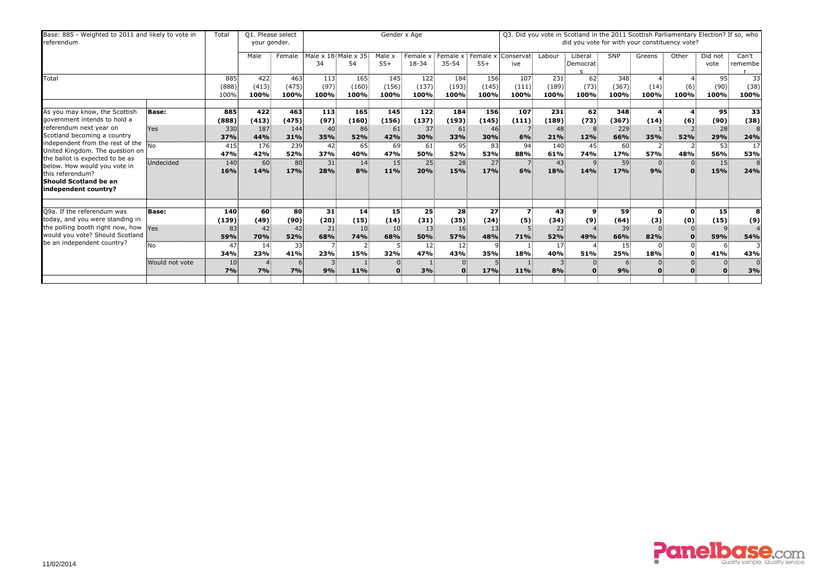| Base: 885 - Weighted to 2011 and likely to vote in<br>referendum                                                                                                                                                                                                                                                                                      |                                             | Total                                                  | Q1. Please select<br>your gender.                     |                                                       |                                                                          |                                                                 |                                                     | Gender x Age                                                        |                                                          |                                                     |                                                     |                                                      | Q3. Did you vote in Scotland in the 2011 Scottish Parliamentary Election? If so, who<br>did you vote for with your constituency vote? |                                                                             |                                                   |                                      |                                                   |                                                                        |
|-------------------------------------------------------------------------------------------------------------------------------------------------------------------------------------------------------------------------------------------------------------------------------------------------------------------------------------------------------|---------------------------------------------|--------------------------------------------------------|-------------------------------------------------------|-------------------------------------------------------|--------------------------------------------------------------------------|-----------------------------------------------------------------|-----------------------------------------------------|---------------------------------------------------------------------|----------------------------------------------------------|-----------------------------------------------------|-----------------------------------------------------|------------------------------------------------------|---------------------------------------------------------------------------------------------------------------------------------------|-----------------------------------------------------------------------------|---------------------------------------------------|--------------------------------------|---------------------------------------------------|------------------------------------------------------------------------|
|                                                                                                                                                                                                                                                                                                                                                       |                                             |                                                        | Male                                                  | Female                                                | Male x 18 Male x 35<br>34                                                | 54                                                              | Male x<br>$55+$                                     | Female x<br>18-34                                                   | Female x<br>$35 - 54$                                    | Female x<br>$55+$                                   | Conservat<br>ive                                    | Labour                                               | Liberal<br>Democrat                                                                                                                   | <b>SNP</b>                                                                  | Greens                                            | Other                                | Did not<br>vote                                   | Can't<br>remembe                                                       |
| Total                                                                                                                                                                                                                                                                                                                                                 |                                             | 885<br>(888)<br>100%                                   | 422<br>(413)<br>100%                                  | 463<br>(475)<br>100%                                  | 113<br>(97)<br>100%                                                      | 165<br>(160)<br>100%                                            | 145<br>(156)<br>100%                                | 122<br>(137)<br>100%                                                | 184<br>(193)<br>100%                                     | 156<br>(145)<br>100%                                | 107<br>(111)<br>100%                                | 231<br>(189)<br>100%                                 | 62<br>(73)<br>100%                                                                                                                    | 348<br>(367)<br>100%                                                        | (14)<br>100%                                      | (6)<br>100%                          | 95<br>(90)<br>100%                                | 33<br>(38)<br>100%                                                     |
| As you may know, the Scottish<br>government intends to hold a<br>referendum next year on<br>Scotland becoming a country<br>independent from the rest of the $\frac{1}{N0}$<br>United Kingdom. The question on<br>the ballot is expected to be as<br>below. How would you vote in<br>this referendum?<br>Should Scotland be an<br>independent country? | <b>Base:</b><br>Yes<br>Undecided            | 885<br>(888)<br>330<br>37%<br>415<br>47%<br>140<br>16% | 422<br>(413)<br>187<br>44%<br>176<br>42%<br>60<br>14% | 463<br>(475)<br>144<br>31%<br>239<br>52%<br>80<br>17% | 113<br>(97)<br>40<br>35%<br>42<br>37%<br>31<br>28%                       | 165<br>(160)<br>86 <sup>3</sup><br>52%<br>65<br>40%<br>14<br>8% | 145<br>(156)<br>61<br>42%<br>69<br>47%<br>15<br>11% | 122<br>(137)<br>37<br>30%<br>61<br>50%<br>$25^{\frac{2}{3}}$<br>20% | 184<br>(193)<br>61<br>33%<br>95<br>52%<br>28<br>15%      | 156<br>(145)<br>46<br>30%<br>83<br>53%<br>27<br>17% | 107<br>(111)<br>6%<br>94<br>88%<br>6%               | 231<br>(189)<br>48<br>21%<br>140<br>61%<br>43<br>18% | 62<br>(73)<br>12%<br>45<br><b>74%</b><br>$\overline{9}$<br>14%                                                                        | 348<br>(367)<br>229<br>66%<br>$60^{\circ}$<br>17%<br>59 <sup>3</sup><br>17% | (14)<br>35%<br>$\overline{2}$<br><b>57%</b><br>9% | (6)<br>52%<br>48%                    | 95<br>(90)<br>28<br>29%<br>53<br>56%<br>15<br>15% | 33<br>(38)<br>8<br>24%<br>17<br>53%<br>8<br>24%                        |
| Q9a. If the referendum was<br>today, and you were standing in<br>the polling booth right now, how Yes<br>would you vote? Should Scotland<br>be an independent country?                                                                                                                                                                                | <b>Base:</b><br><b>No</b><br>Would not vote | 140<br>(139)<br>83<br>59%<br>47<br>34%<br>10<br>7%     | 60<br>(49)<br>42<br>70%<br>14<br>23%<br>7%            | 80<br>(90)<br>42<br>52%<br>33<br>41%<br>7%            | 31<br>(20)<br>21<br>68%<br>$\overline{7}$<br>23%<br>$\overline{3}$<br>9% | 14 <sup>3</sup><br>(15)<br>10<br><b>74%</b><br>15%<br>11%       | 15<br>(14)<br>10<br>68%<br>32%                      | 25<br>(31)<br>13<br>50%<br>12<br>47%<br>3%                          | 28<br>(35)<br>16<br><b>57%</b><br>12 <sub>1</sub><br>43% | 27<br>(24)<br>13<br>48%<br>35%<br>17%               | $\overline{\mathbf{z}}$<br>(5)<br>71%<br>18%<br>11% | 43<br>(34)<br>22<br>52%<br>17<br>40%<br>8%           | $\boldsymbol{9}$<br>(9)<br>49%<br><b>51%</b>                                                                                          | 59<br>(64)<br>39<br>66%<br>15 <sub>1</sub><br><b>25%</b><br>9%              | $\mathbf 0$<br>(3)<br>82%<br>18%                  | $\mathbf{0}$<br>(0)<br>$\Omega$<br>0 | 15 <sub>3</sub><br>(15)<br>q<br>59%<br>41%        | 8<br>(9)<br>$\overline{4}$<br><b>54%</b><br>3<br>43%<br>$\Omega$<br>3% |

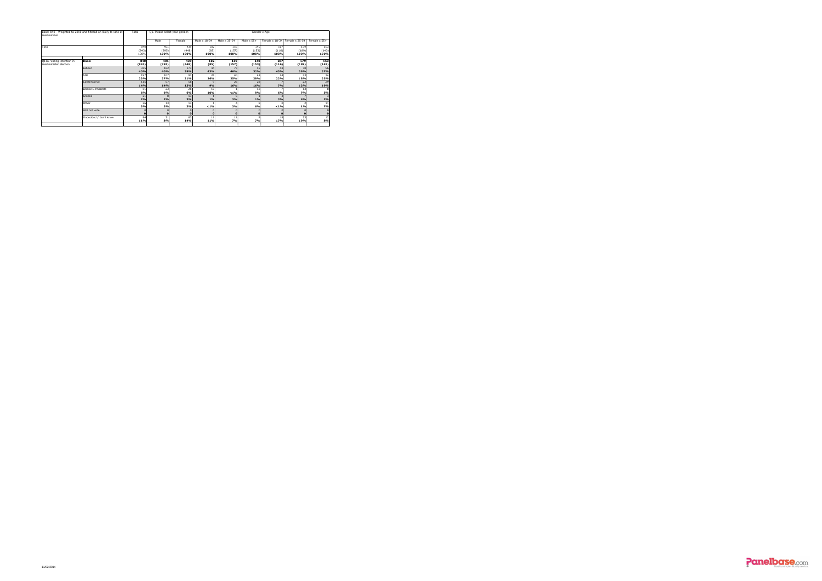| Westminster                                        | Base: 840 - Weighted to 2010 and filtered on likely to vote at | Total         | Q1. Please select your gender. |               |                        |               |                   | Gender x Age  |                               |               |
|----------------------------------------------------|----------------------------------------------------------------|---------------|--------------------------------|---------------|------------------------|---------------|-------------------|---------------|-------------------------------|---------------|
|                                                    |                                                                |               | Male                           | Female        | Male x 18-34           | Male x 35-54  | Male $\times$ 55+ |               | Female x 18-34 Female x 35-54 | Female x 55+  |
| Total                                              |                                                                | 840           | 401                            | 439           | 102                    | 159           | 140               | 107           | 179                           | 153           |
|                                                    |                                                                | (843)<br>100% | (395)<br>100%                  | (448)<br>100% | (85)<br>100%           | (157)<br>100% | (153)<br>100%     | (116)<br>100% | (189)<br>100%                 | (143)<br>100% |
|                                                    |                                                                |               |                                |               |                        |               |                   |               |                               |               |
| Q11a. Voting intention in<br>Westminister election | <b>Base:</b>                                                   | 840<br>(843)  | 401<br>(395)                   | 439<br>(448)  | 102<br>(85)            | 159<br>(157)  | 140<br>(153)      | 107<br>(116)  | 179<br>(189)                  | 153<br>(143)  |
|                                                    | Labour                                                         | 335<br>40%    | 162<br>40%                     | 173<br>39%    | 44<br>43%              | 73<br>46%     | 45<br>32%         | 48<br>45%     | 70<br>39%                     | 56<br>37%     |
|                                                    | <b>SNP</b>                                                     | 197<br>23%    | 107<br>27%                     | 91<br>21%     | 26<br>26%              | 40<br>25%     | -41<br>29%        | 24<br>22%     | 33<br>18%                     | 34<br>22%     |
|                                                    | Conservative                                                   | 115<br>14%    | 57<br>14%                      | 58<br>13%     | 9%                     | 26<br>16%     | 23<br>16%         | 7%            | 22<br>12%                     | 29<br>19%     |
|                                                    | Liberal Democrats                                              | 51<br>6%      | 23<br>6%                       | 28<br>6%      | 10 <sup>1</sup><br>10% | < 1%          | 12<br>9%          | 6%            | 13<br><b>7%</b>               | 5%            |
|                                                    | Greens                                                         | 21<br>2%      | 8<br>2%                        | 13<br>3%      | 1%                     | 3%            | 1%                | 3%            | 4%                            | 2%            |
|                                                    | Other                                                          | 26<br>3%      | 13<br>3%                       | 13<br>3%      | < 1%                   | 3%            | 6%                | < 1%          | $1\%$                         | 11<br>7%      |
|                                                    | Will not vote                                                  | $\mathbf 0$   | 0<br>0                         |               |                        | $\mathbf 0$   | $\Omega$          |               |                               |               |
|                                                    | Undecided / don't know                                         | 94<br>11%     | 31<br>8%                       | 63<br>14%     | 11<br>11%              | 11<br>7%      | 9<br>7%           | 18<br>17%     | 33<br>19%                     | 12<br>8%      |
|                                                    |                                                                |               |                                |               |                        |               |                   |               |                               |               |

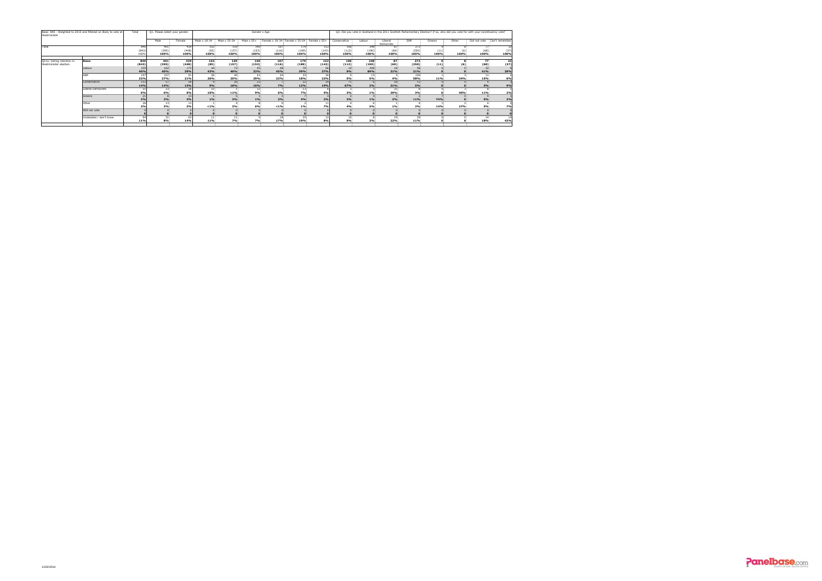| Westminster               | Base: 840 - Weighted to 2010 and filtered on likely to vote at | Total | Q1. Please select your gender. |        |              |                 |                   | Gender x Age                  |                  |              |              |                 |                      |            |        |       | Q3. Did you vote in Scotland in the 2011 Scottish Parliamentary Election? If so, who did you vote for with your constituency vote? |            |
|---------------------------|----------------------------------------------------------------|-------|--------------------------------|--------|--------------|-----------------|-------------------|-------------------------------|------------------|--------------|--------------|-----------------|----------------------|------------|--------|-------|------------------------------------------------------------------------------------------------------------------------------------|------------|
|                           |                                                                |       | Male                           | Female | Male x 18-34 | Male x 35-54    | Male $\times$ 55+ | Female x 18-34 Female x 35-54 |                  | Female x 55+ | Conservative | Labour          | Liberal<br>Democrats | <b>SNP</b> | Greens | Other | Did not vote   Can't remember                                                                                                      |            |
| Total                     |                                                                | 840   | 401                            | 439    | 102          | 159             | 140               | 107                           | 179              | 153          | 106          | 248             | 871                  | 273        |        |       |                                                                                                                                    | -32        |
|                           |                                                                | (843) | (395)                          | (448)  | (85)         | (157)           | (153)             | (116)                         | (189)            | (143)        | (112)        | (190)           | (69)                 | (350)      | (11)   |       | (68)                                                                                                                               | (37)       |
|                           |                                                                | 100%  | 100%                           | 100%   | 100%         | 100%            | 100%              | 100%                          | 100%             | 100%         | 100%         | 100%            | 100%                 | 100%       | 100%   | 100%  | 100%                                                                                                                               | 100%       |
| Q11a. Voting intention in | Base:                                                          | 840   | 401                            | 439    | 102          | 159             | 140               | 107                           | 179              | 153          | 106          | 248             | 87                   | 273        |        |       | 77                                                                                                                                 | 32         |
| Westminister election     |                                                                | (843) | (395)                          | (448)  | (85)         | (157)           | (153)             | (116)                         | (189)            | (143)        | (112)        | (190)           | (69)                 | (350)      | (11)   | (6)   | (68)                                                                                                                               | (37)       |
|                           | Labour                                                         | 335   | 162                            | 173    |              | 73              |                   |                               |                  |              |              | 208             | 18                   |            |        |       |                                                                                                                                    |            |
|                           |                                                                | 40%   | 40%                            | 39%    | 43%          | 46%             | 32%               | 45%                           | 39%              | 37%          | 9%           | 84%             | 21%                  | 21%        |        |       | 41%                                                                                                                                | <b>29%</b> |
|                           | <b>SNP</b>                                                     | 197   | 107                            |        | 26           | 40 <sup>1</sup> | 41                | 24                            | -33 <sup>1</sup> |              |              | 13 <sup>1</sup> |                      | 159        |        |       | 11                                                                                                                                 |            |
|                           |                                                                | 23%   | 27%                            | 21%    | 26%          | 25%             | 29%               | 22%                           | 18%              | 22%          | <b>5%</b>    | 5%              | 4%                   | 58%        | 11%    | 34%   | 15%                                                                                                                                | 6%         |
|                           | Conservative                                                   | 115   | 57                             | .58    |              | 26              | 23                |                               | 22               |              |              |                 | 18 <sup>1</sup>      | 13         |        |       |                                                                                                                                    |            |
|                           |                                                                | 14%   | 14%                            | 13%    | 9%           | 16%             | 16%               | 7%                            | 12%              | 19%          | 67%          | 2%              | 21%                  | 5%         |        |       | 5%                                                                                                                                 | 9%         |
|                           | Liberal Democrats                                              |       | 23                             |        | 10           |                 | 12                |                               |                  |              |              |                 | 25                   |            |        |       |                                                                                                                                    |            |
|                           |                                                                | 6%    | 6%                             | 6%     | 10%          | $< 1\%$         | 9%                | 6%                            | 7%               | <b>5%</b>    | 3%           | $1\%$           | 29%                  | 3%         |        | 40%   | 11%                                                                                                                                | 2%         |
|                           | Greens                                                         | 21    |                                |        |              |                 |                   |                               |                  |              |              |                 |                      |            |        |       |                                                                                                                                    |            |
|                           |                                                                | 2%    | 2%                             |        | $1\%$        | 3%              | $1\%$             | 3%                            | 4%               | 2%           | 2%           | $1\%$           | 2%                   | $< 1\%$    | 74%    |       | 5%                                                                                                                                 | 2%         |
|                           | Other                                                          | 26    |                                |        |              |                 |                   |                               |                  |              |              |                 |                      |            |        |       |                                                                                                                                    |            |
|                           |                                                                | 3%    | 3%                             | 3%     | $< 1\%$      | 3%              | 6%                | $< 1\%$                       | $1\%$            | 7%           | 4%           | 3%              | 1%                   | 2%         | 14%    | 27%   | 5%                                                                                                                                 | 7%         |
|                           | Will not vote                                                  |       |                                |        |              |                 |                   |                               |                  |              |              |                 |                      |            |        |       |                                                                                                                                    |            |
|                           |                                                                |       |                                |        |              |                 |                   |                               |                  |              |              |                 |                      |            |        |       |                                                                                                                                    |            |
|                           | Undecided / don't know                                         | 94    | 21                             |        |              |                 |                   | 18                            | 33               |              |              |                 |                      | 29         |        |       |                                                                                                                                    |            |
|                           |                                                                | 11%   | 8%                             | 14%    | 11%          | 7%              | 7%                | 17%                           | 19%              | 8%           | 9%           | 3%              | 22%                  | 11%        |        |       | 18%                                                                                                                                | 43%        |

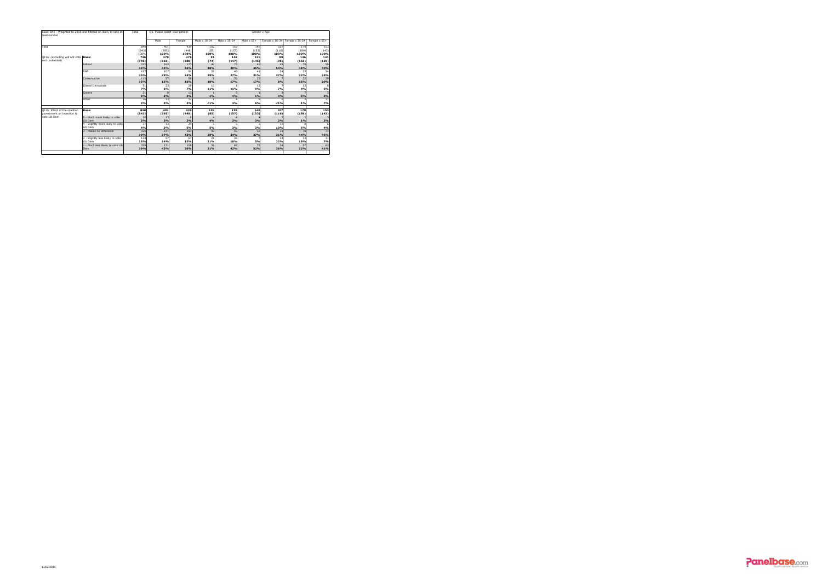| Westminster                          | Base: 840 - Weighted to 2010 and filtered on likely to vote at | Total | Q1. Please select your gender. |        |              |              |                   | Gender x Age |                               |              |
|--------------------------------------|----------------------------------------------------------------|-------|--------------------------------|--------|--------------|--------------|-------------------|--------------|-------------------------------|--------------|
|                                      |                                                                |       | Male                           | Female | Male x 18-34 | Male x 35-54 | Male $\times$ 55+ |              | Female x 18-34 Female x 35-54 | Female x 55+ |
| Total                                |                                                                | 840   | 401                            | 439    | 102          | 159          | 140               | 107          | 179                           | 153          |
|                                      |                                                                | (843) | (395)                          | (448)  | (85)         | (157)        | (153)             | (116)        | (189)                         | (143)        |
|                                      |                                                                | 100%  | 100%                           | 100%   | 100%         | 100%         | 100%              | 100%         | 100%                          | 100%         |
| Q11a. (excluding will not vote Base: |                                                                | 746   | 370                            | 376    | 91           | 148          | 131               | 89           | 146                           | 141          |
| and undecided)                       |                                                                | (746) | (366)                          | (380)  | (74)         | (147)        | (145)             | (95)         | (156)                         | (129)        |
|                                      | Labour                                                         | 335   | 162                            | 173    | 44           | 73           | 45                | 48           | 70                            | 56           |
|                                      |                                                                | 45%   | 44%                            | 46%    | 48%          | 49%          | 35%               | 54%          | 48%                           | 40%          |
|                                      | <b>SNP</b>                                                     | 197   | 107                            | 91     | 26           | 40           | 41                | 24           | 33                            | 34           |
|                                      |                                                                | 26%   | 29%                            | 24%    | 29%          | 27%          | 31%               | 27%          | 22%                           | 24%          |
|                                      | Conservative                                                   | 115   | 57                             | 58     | 9            | 26           | 23                |              | 22                            | 29           |
|                                      |                                                                | 15%   | 15%                            | 15%    | 10%          | 17%          | 17%               | 8%           | 15%                           | 20%          |
|                                      | Liberal Democrats                                              | 51    | 23                             | 28     | 10           |              | 12                |              | 13                            |              |
|                                      |                                                                | 7%    | 6%                             | 7%     | <b>11%</b>   | $< 1\%$      | 9%                | 7%           | 9%                            | 6%           |
|                                      | Greens                                                         | 21    | 8                              | 13     |              |              |                   |              |                               |              |
|                                      |                                                                | 3%    | 2%                             | 3%     | 1%           | 4%           | $1\%$             | 4%           | 5%                            | 2%           |
|                                      | Other                                                          | 26    | 13                             | 13     |              |              | 8                 | 0:           |                               | 11           |
|                                      |                                                                | 3%    | 4%                             | 3%     | < 1%         | 3%           | 6%                | $< 1\%$      | $1\%$                         | 7%           |
| Q11b. Effect of the coalition        | <b>Base:</b>                                                   | 840   | 401                            | 439    | 102          | 159          | 140               | 107          | 179                           | 153          |
| government on intention to           |                                                                | (843) | (395)                          | (448)  | (85)         | (157)        | (153)             | (116)        | (189)                         | (143)        |
| vote Lib Dem                         | 5 - Much more likely to vote                                   | 20    | 12                             |        |              |              |                   |              |                               |              |
|                                      | Lib Dem                                                        | 2%    | 3%                             | 2%     | 4%           | 3%           | 3%                | 2%           | $1\%$                         | $2\%$        |
|                                      | 4 - Slightly more likely to vote                               | 37    | 13                             | 24     |              |              |                   | 10           | 8                             |              |
|                                      | Lib Dem                                                        | 4%    | 3%                             | 5%     | <b>5%</b>    | 3%           | 3%                | 10%          | 5%                            | 4%           |
|                                      | 3 - Makes no difference                                        | 329   | 147                            | 183    | 40           | 55           | 52                | 33           | 78                            | 71           |
|                                      |                                                                | 39%   | 37%                            | 42%    | 39%          | 34%          | 37%               | 31%          | 44%                           | 46%          |
|                                      | 2 - Slightly less likely to vote                               | 124   | 57                             | 67     | 21           | 28           |                   | 23           | 33                            | 11           |
|                                      | Lib Dem                                                        | 15%   | 14%                            | 15%    | 21%          | 18%          | <b>5%</b>         | 22%          | 18%                           | 7%           |
|                                      | 1 - Much less likely to vote Lib                               | 329   | 171                            | 158    | 31           | 67           | 73                | 38           | 57                            | 63           |
|                                      | Dem                                                            | 39%   | 43%                            | 36%    | 31%          | 42%          | 52%               | 36%          | 32%                           | 41%          |
|                                      |                                                                |       |                                |        |              |              |                   |              |                               |              |

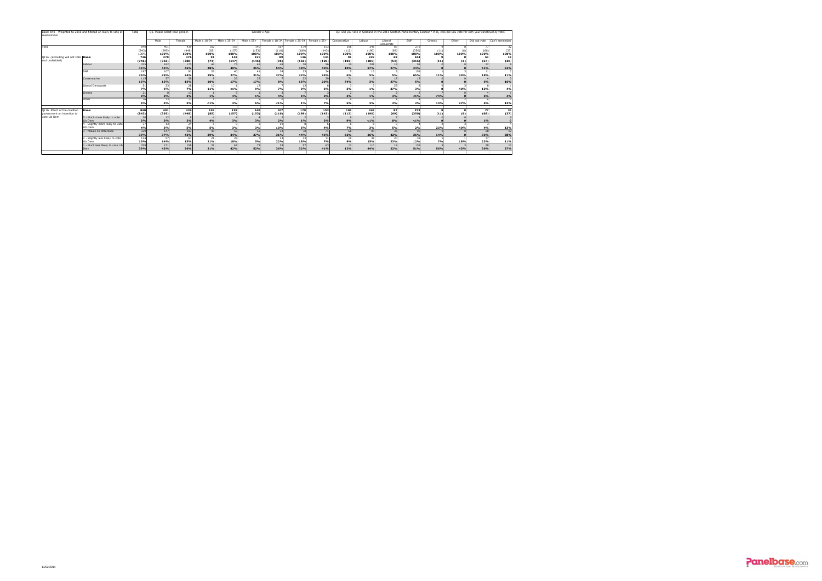| Westminster                          | Base: 840 - Weighted to 2010 and filtered on likely to vote at | Total    | Q1. Please select your gender. |        |              |                 |                   | Gender x Age |                               |              |                 |                 |                      |                 |           |       | Q3. Did you vote in Scotland in the 2011 Scottish Parliamentary Election? If so, who did you vote for with your constituency vote? |                 |
|--------------------------------------|----------------------------------------------------------------|----------|--------------------------------|--------|--------------|-----------------|-------------------|--------------|-------------------------------|--------------|-----------------|-----------------|----------------------|-----------------|-----------|-------|------------------------------------------------------------------------------------------------------------------------------------|-----------------|
|                                      |                                                                |          | Male                           | Female | Male x 18-34 | Male x 35-54    | Male $\times$ 55+ |              | Female x 18-34 Female x 35-54 | Female x 55+ | Conservative    | Labour          | Liberal<br>Democrats | SNP             | Greens    | Other | Did not vote                                                                                                                       | Can't remember  |
| Total                                |                                                                | 840      | 401                            | 439    | 102          | 159             | 140               | 107          | 179                           | 153          | 106             | 248             | 87.                  | 273             |           |       |                                                                                                                                    | 32              |
|                                      |                                                                | (843)    | (395)                          | (448)  | (85)         | (157)           | (153)             | (116)        | (189)                         | (143)        | (112)           | (190)           | (69)                 | (350)           | (11)      |       | (68)                                                                                                                               | (37)            |
|                                      |                                                                | 100%     | 100%                           | 100%   | 100%         | 100%            | 100%              | 100%         | 100%                          | 100%         | 100%            | 100%            | 100%                 | 100%            | 100%      | 100%  | 100%                                                                                                                               | 100%            |
| Q11a. (excluding will not vote Base: |                                                                | 746      | 370                            | 376    | 91           | 148             | 131               | 89           | 146                           | 141          | 96              | 239             | 68                   | 244             |           |       | 63                                                                                                                                 | 18              |
| and undecided)                       |                                                                | (746)    | (366)                          | (380)  | (74)         | (147)           | (145)             | (95)         | (156)                         | (129)        | (101)           | (181)           | (54)                 | (316)           | (11)      |       | (57)                                                                                                                               | (20)            |
|                                      | Labour                                                         | 335      | 162                            | 173    | 44           | 73              | 45                |              | 70                            |              |                 | 208             | 18                   | 58              |           |       |                                                                                                                                    |                 |
|                                      |                                                                | 45%      | 44%                            | 46%    | 48%          | 49%             | 35%               | 54%          | 48%                           | 40%          | 10%             | 87%             | 27%                  | 24%             |           |       | 51%                                                                                                                                | <b>52%</b>      |
|                                      | <b>SNP</b>                                                     | 197      | 107                            | -91    | 26           | -40             | 41!               | 24           | 33                            | -34          |                 | 13              |                      | 159             |           |       | 11                                                                                                                                 |                 |
|                                      |                                                                | 26%      | 29%                            | 24%    | 29%          | 27%             | 31%               | 27%          | 22%                           | 24%          | 6%              | 5%              | 5%                   | 65%             | 11%       | 34%   | 18%                                                                                                                                | <b>11%</b>      |
|                                      | Conservative                                                   | 115      | 57                             | 58     |              | 26              | 23                |              | 22                            | 29           | 71              |                 | 18                   | 13              |           |       |                                                                                                                                    |                 |
|                                      |                                                                | 15%      | 15%                            | 15%    | 10%          | 17%             | 17%               | 8%           | 15%                           | 20%          | 74%             | 3%              | 27%                  | 5%              |           |       | 6%                                                                                                                                 | <b>16%</b>      |
|                                      | Liberal Democrats                                              | 51       | 23                             | 28     | 10           |                 | 12                |              | 13                            |              |                 |                 | 25                   |                 |           |       |                                                                                                                                    |                 |
|                                      |                                                                | 7%       | 6%                             | 7%     | 11%          | $< 1\%$         | 9%                | 7%           | 9%                            | 6%           | 3%              | $1\%$           | 37%                  | 3%              |           | 40%   | 13%                                                                                                                                | 4%              |
|                                      | Greens                                                         | 21<br>3% |                                | 13     | 1%           | <b>4%</b>       |                   | 4%           | 5%                            | 2%           | 3%              | $1\%$           | 3%                   | $< 1\%$         | 74%       |       |                                                                                                                                    |                 |
|                                      |                                                                |          | 2%                             | 3%     |              |                 | $1\%$             |              |                               |              |                 |                 |                      |                 |           |       | 6%                                                                                                                                 | 4%              |
|                                      | Other                                                          | 26<br>3% | 13<br>4%                       | 3%     | $< 1\%$      | 3%              | 6%                | $< 1\%$      | 1%                            | 7%           | 5%              | 3%              | 2%                   | 2%              | 14%       | 27%   | 6%                                                                                                                                 | 13%             |
|                                      |                                                                |          |                                |        |              |                 |                   |              |                               |              |                 |                 |                      |                 |           |       |                                                                                                                                    |                 |
| Q11b. Effect of the coalition        | Base:                                                          | 840      | 401                            | 439    | 102          | 159             | 140               | 107          | 179                           | 153          | 106             | 248             | 87                   | 273             |           |       | 77                                                                                                                                 | 32              |
| government on intention to           |                                                                | (843)    | (395)                          | (448)  | (85)         | (157)           | (153)             | (116)        | (189)                         | (143)        | (112)           | (190)           | (69)                 | (350)           | (11)      |       | (68)                                                                                                                               | (37)            |
| vote Lib Dem                         | 5 - Much more likely to vote                                   | 20       | 12 <sub>1</sub>                |        |              |                 |                   |              |                               |              |                 |                 |                      |                 |           |       |                                                                                                                                    |                 |
|                                      | Lib Dem                                                        | 2%       | 3%                             | 2%     | 4%           | 3%              | 3%                | 2%           | $1\%$                         | 2%           | 9%              | $< 1\%$         | 8%                   | $< 1\%$         |           |       | 1%                                                                                                                                 |                 |
|                                      | - Slightly more likely to vote                                 | 37       | 13                             | 24     |              |                 |                   | 10           |                               |              |                 |                 |                      |                 |           |       |                                                                                                                                    |                 |
|                                      | Lib Dem                                                        | 4%       | 3%                             | 5%     | 5%           | 3%              | 3%                | 10%          | 5%                            | <b>4%</b>    | 7%              | 3%              | 5%                   | 2%              | 23%       | 40%   | 4%                                                                                                                                 | <b>13%</b>      |
|                                      | - Makes no difference                                          | 329      | $\overline{147}$               | 183    | 40           | $\overline{55}$ | $\overline{52}$   | 33           | 78                            | 71           | 66              | 90              | $\overline{36}$      | $\overline{96}$ |           |       | 28                                                                                                                                 | $\overline{12}$ |
|                                      |                                                                | 39%      | 37%                            | 42%    | 39%          | 34%             | 37%               | 31%          | 44%                           | 46%          | 62%             | 36%             | 42%                  | 35%             | 14%       |       | 36%                                                                                                                                | 38%             |
|                                      | - Slightly less likely to vote                                 | 124      | 57                             | 67     | 21           | 28 <sup>1</sup> |                   | 23           | 33                            |              | 10 <sub>1</sub> | 38 <sup>1</sup> | 20 <sup>1</sup>      | 32              |           |       | 17 <sup>1</sup>                                                                                                                    |                 |
|                                      | Lib Dem                                                        | 15%      | 14%                            | 15%    | 21%          | 18%             | 5%                | 22%          | 18%                           | 7%           | 9%              | 15%             | 23%                  | 12%             | <b>7%</b> | 18%   | 22%                                                                                                                                | <b>11%</b>      |
|                                      | - Much less likely to vote Lib                                 | 329      | 171                            | 158    | 31           | 67              | 73                | 38           | 57                            | 63           | 13 <sup>1</sup> | 110             | 19                   | 139             |           |       | 28 <sup>1</sup>                                                                                                                    | 12              |
|                                      | Dem                                                            | 39%      | 43%                            | 36%    | 31%          | 42%             | 52%               | 36%          | 32%                           | 41%          | 12%             | 44%             | 22%                  | 51%             | 56%       | 43%   | 36%                                                                                                                                | 37%             |

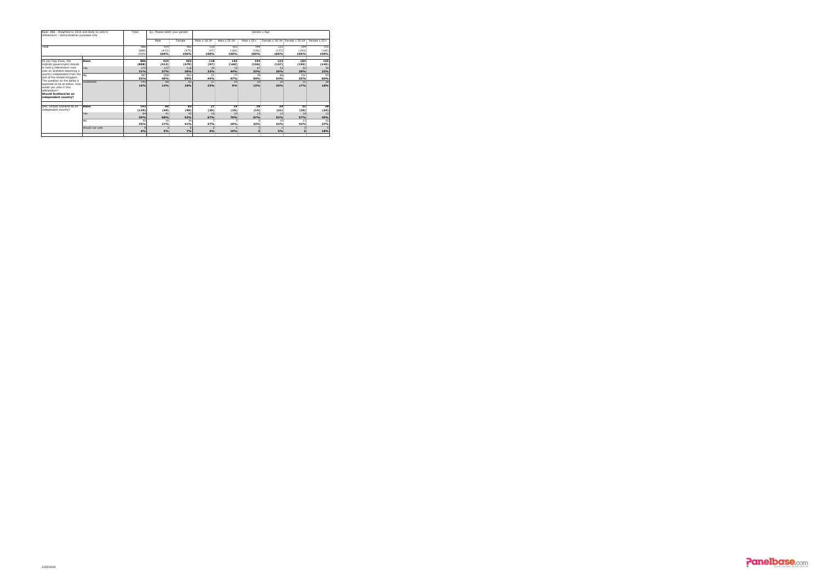| Base: 886 - Weighted to 2010 and likely to vote in<br>referendum - demonstration purposes only                                                                                                                                                                                                                                                                      |                                             | Total                                                  | Q1. Please select your gender.                               |                                                            |                                                    |                                                     |                                                            | Gender x Age                                         |                                                                 |                                                                               |
|---------------------------------------------------------------------------------------------------------------------------------------------------------------------------------------------------------------------------------------------------------------------------------------------------------------------------------------------------------------------|---------------------------------------------|--------------------------------------------------------|--------------------------------------------------------------|------------------------------------------------------------|----------------------------------------------------|-----------------------------------------------------|------------------------------------------------------------|------------------------------------------------------|-----------------------------------------------------------------|-------------------------------------------------------------------------------|
|                                                                                                                                                                                                                                                                                                                                                                     |                                             |                                                        | Male                                                         | Female                                                     | Male x 18-34                                       | Male x 35-54                                        | Male $\times$ 55+                                          |                                                      | Female x 18-34 Female x 35-54                                   | Female x 55+                                                                  |
| Total                                                                                                                                                                                                                                                                                                                                                               |                                             | 886<br>(888)<br>100%                                   | 424<br>(413)<br>100%                                         | 462<br>(475)<br>100%                                       | 118<br>(97)<br>100%                                | 163<br>(160)<br>100%                                | 144<br>(156)<br>100%                                       | 123<br>(137)<br>100%                                 | 184<br>(193)<br>100%                                            | 155<br>(145)<br>100%                                                          |
| As you may know, the<br>Scottish government intends<br>to hold a referendum next<br>year on Scotland becoming a<br>country independent from the $\overline{N_{0}}$<br>rest of the United Kingdom.<br>The question on the ballot is<br>expected to be as below. How<br>would you vote in this<br>referendum?<br><b>Should Scotland be an</b><br>independent country? | <b>Base:</b><br>Yes<br>Undecided            | 886<br>(888)<br>275<br>31%<br>467<br>53%<br>143<br>16% | 424<br>(413)<br>157<br>37%<br>206<br>49%<br>60<br>14%        | 462<br>(475)<br>118<br>26%<br>261<br>56%<br>83<br>18%      | 118<br>(97)<br>39<br>33%<br>51<br>44%<br>27<br>23% | 163<br>(160)<br>72<br>44%<br>77i<br>47%<br>14<br>9% | 144<br>(156)<br>47<br>33%<br>78<br><b>54%</b><br>19<br>13% | 123<br>(137)<br>32<br>26%<br>66<br>54%<br>24<br>20%  | 184<br>(193)<br>52<br>28%<br>101<br>55%<br>31<br>17%            | 155<br>(145)<br>34<br>22%<br>$\overline{93}$<br>60%<br>$\overline{28}$<br>18% |
| Q9a. Should Scotland be an<br>independent country?                                                                                                                                                                                                                                                                                                                  | <b>Base:</b><br>Yes<br>No<br>Would not vote | 143<br>(139)<br>84<br>59%<br>50<br>35%<br>6%           | 60 <sup>1</sup><br>(49)<br>41<br>68%<br>16<br>27%<br>3<br>5% | 83<br>(90)<br>43<br>52%<br>34<br>41%<br>$\mathsf{h}$<br>7% | 27<br>(20)<br>18<br>67%<br>27%<br>2<br>6%          | 14<br>(15)<br>10<br>70%<br>19%<br>10%               | 19<br>(14)<br>13<br>67%<br>33%<br>0                        | 24<br>(31)<br>13<br>53%<br>$10^{\circ}$<br>42%<br>5% | 31<br>(35)<br>18<br>57%<br>13<br>43%<br>$\Omega$<br>$\mathbf 0$ | 28<br>(24)<br>13<br>45%<br>10<br>37%<br>18%                                   |